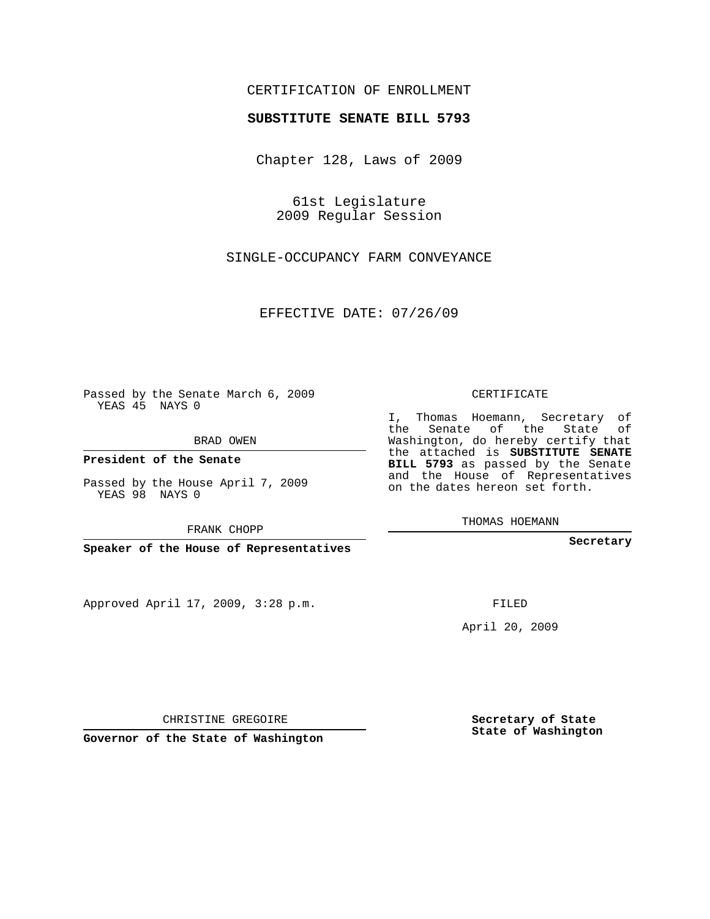## CERTIFICATION OF ENROLLMENT

## **SUBSTITUTE SENATE BILL 5793**

Chapter 128, Laws of 2009

61st Legislature 2009 Regular Session

SINGLE-OCCUPANCY FARM CONVEYANCE

EFFECTIVE DATE: 07/26/09

Passed by the Senate March 6, 2009 YEAS 45 NAYS 0

BRAD OWEN

**President of the Senate**

Passed by the House April 7, 2009 YEAS 98 NAYS 0

FRANK CHOPP

**Speaker of the House of Representatives**

Approved April 17, 2009, 3:28 p.m.

CERTIFICATE

I, Thomas Hoemann, Secretary of the Senate of the State of Washington, do hereby certify that the attached is **SUBSTITUTE SENATE BILL 5793** as passed by the Senate and the House of Representatives on the dates hereon set forth.

THOMAS HOEMANN

**Secretary**

FILED

April 20, 2009

**Secretary of State State of Washington**

CHRISTINE GREGOIRE

**Governor of the State of Washington**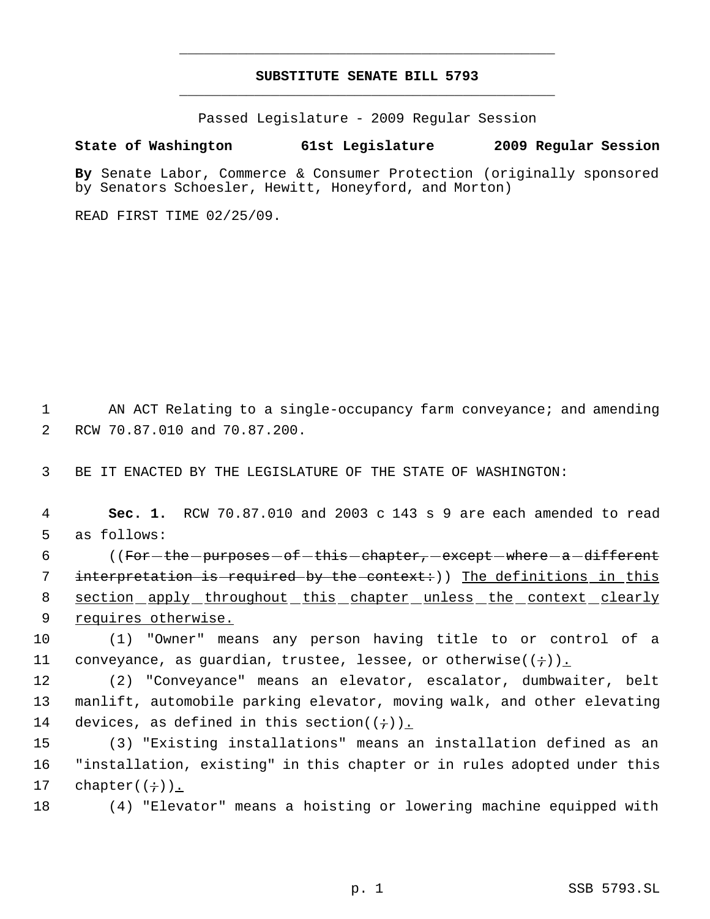## **SUBSTITUTE SENATE BILL 5793** \_\_\_\_\_\_\_\_\_\_\_\_\_\_\_\_\_\_\_\_\_\_\_\_\_\_\_\_\_\_\_\_\_\_\_\_\_\_\_\_\_\_\_\_\_

\_\_\_\_\_\_\_\_\_\_\_\_\_\_\_\_\_\_\_\_\_\_\_\_\_\_\_\_\_\_\_\_\_\_\_\_\_\_\_\_\_\_\_\_\_

Passed Legislature - 2009 Regular Session

## **State of Washington 61st Legislature 2009 Regular Session**

**By** Senate Labor, Commerce & Consumer Protection (originally sponsored by Senators Schoesler, Hewitt, Honeyford, and Morton)

READ FIRST TIME 02/25/09.

 1 AN ACT Relating to a single-occupancy farm conveyance; and amending 2 RCW 70.87.010 and 70.87.200.

3 BE IT ENACTED BY THE LEGISLATURE OF THE STATE OF WASHINGTON:

 4 **Sec. 1.** RCW 70.87.010 and 2003 c 143 s 9 are each amended to read 5 as follows:

6 (For the purposes of this chapter, except where a different 7 interpretation is required by the context:)) The definitions in this 8 section apply throughout this chapter unless the context clearly 9 requires otherwise.

10 (1) "Owner" means any person having title to or control of a 11 conveyance, as guardian, trustee, lessee, or otherwise( $(+)$ ).

12 (2) "Conveyance" means an elevator, escalator, dumbwaiter, belt 13 manlift, automobile parking elevator, moving walk, and other elevating 14 devices, as defined in this section( $(+)$ ).

15 (3) "Existing installations" means an installation defined as an 16 "installation, existing" in this chapter or in rules adopted under this 17 chapter( $(\div)$ ).

18 (4) "Elevator" means a hoisting or lowering machine equipped with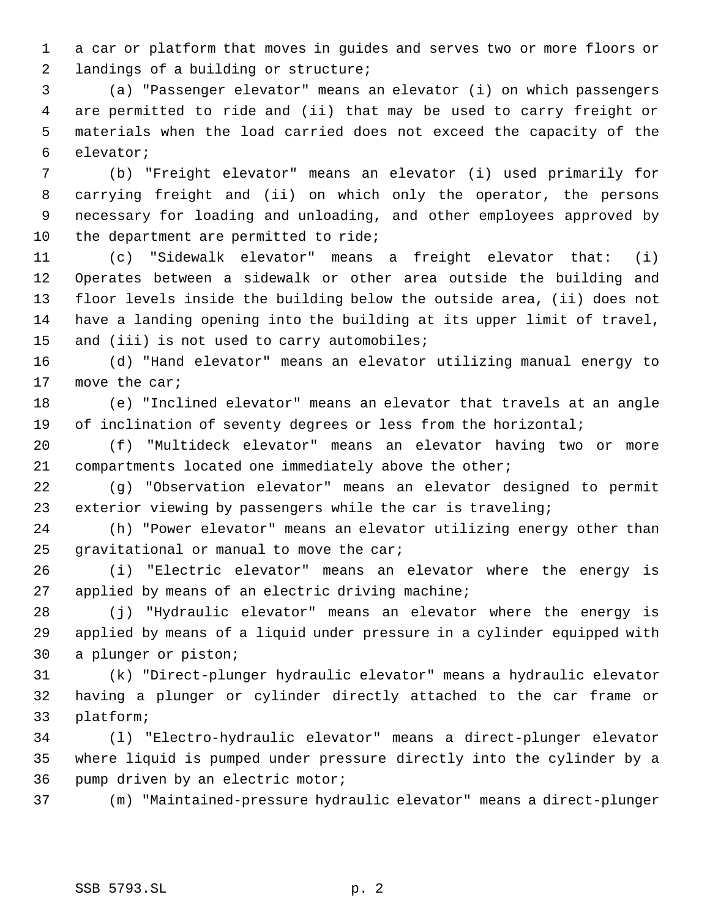a car or platform that moves in guides and serves two or more floors or landings of a building or structure;

 (a) "Passenger elevator" means an elevator (i) on which passengers are permitted to ride and (ii) that may be used to carry freight or materials when the load carried does not exceed the capacity of the elevator;

 (b) "Freight elevator" means an elevator (i) used primarily for carrying freight and (ii) on which only the operator, the persons necessary for loading and unloading, and other employees approved by the department are permitted to ride;

 (c) "Sidewalk elevator" means a freight elevator that: (i) Operates between a sidewalk or other area outside the building and floor levels inside the building below the outside area, (ii) does not have a landing opening into the building at its upper limit of travel, 15 and (iii) is not used to carry automobiles;

 (d) "Hand elevator" means an elevator utilizing manual energy to 17 move the car;

 (e) "Inclined elevator" means an elevator that travels at an angle 19 of inclination of seventy degrees or less from the horizontal;

 (f) "Multideck elevator" means an elevator having two or more compartments located one immediately above the other;

 (g) "Observation elevator" means an elevator designed to permit exterior viewing by passengers while the car is traveling;

 (h) "Power elevator" means an elevator utilizing energy other than 25 gravitational or manual to move the car;

 (i) "Electric elevator" means an elevator where the energy is applied by means of an electric driving machine;

 (j) "Hydraulic elevator" means an elevator where the energy is applied by means of a liquid under pressure in a cylinder equipped with a plunger or piston;

 (k) "Direct-plunger hydraulic elevator" means a hydraulic elevator having a plunger or cylinder directly attached to the car frame or platform;

 (l) "Electro-hydraulic elevator" means a direct-plunger elevator where liquid is pumped under pressure directly into the cylinder by a pump driven by an electric motor;

(m) "Maintained-pressure hydraulic elevator" means a direct-plunger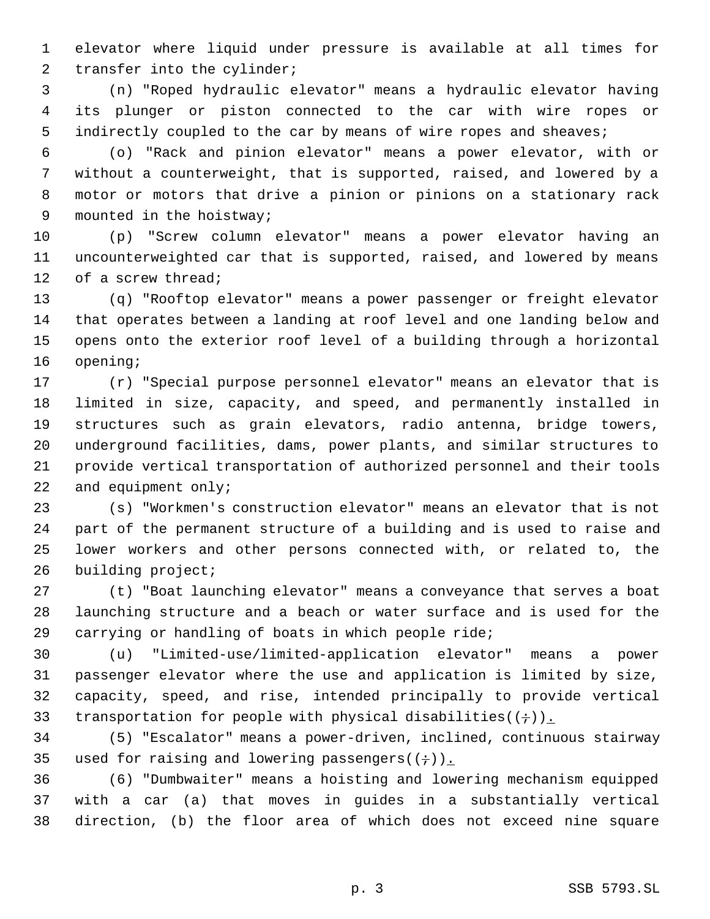elevator where liquid under pressure is available at all times for 2 transfer into the cylinder;

 (n) "Roped hydraulic elevator" means a hydraulic elevator having its plunger or piston connected to the car with wire ropes or indirectly coupled to the car by means of wire ropes and sheaves;

 (o) "Rack and pinion elevator" means a power elevator, with or without a counterweight, that is supported, raised, and lowered by a motor or motors that drive a pinion or pinions on a stationary rack mounted in the hoistway;

 (p) "Screw column elevator" means a power elevator having an uncounterweighted car that is supported, raised, and lowered by means of a screw thread;

 (q) "Rooftop elevator" means a power passenger or freight elevator that operates between a landing at roof level and one landing below and opens onto the exterior roof level of a building through a horizontal opening;

 (r) "Special purpose personnel elevator" means an elevator that is limited in size, capacity, and speed, and permanently installed in structures such as grain elevators, radio antenna, bridge towers, underground facilities, dams, power plants, and similar structures to provide vertical transportation of authorized personnel and their tools and equipment only;

 (s) "Workmen's construction elevator" means an elevator that is not part of the permanent structure of a building and is used to raise and lower workers and other persons connected with, or related to, the building project;

 (t) "Boat launching elevator" means a conveyance that serves a boat launching structure and a beach or water surface and is used for the carrying or handling of boats in which people ride;

 (u) "Limited-use/limited-application elevator" means a power passenger elevator where the use and application is limited by size, capacity, speed, and rise, intended principally to provide vertical 33 transportation for people with physical disabilities( $(+)$ ).

 (5) "Escalator" means a power-driven, inclined, continuous stairway 35 used for raising and lowering passengers( $(+)$ ).

 (6) "Dumbwaiter" means a hoisting and lowering mechanism equipped with a car (a) that moves in guides in a substantially vertical direction, (b) the floor area of which does not exceed nine square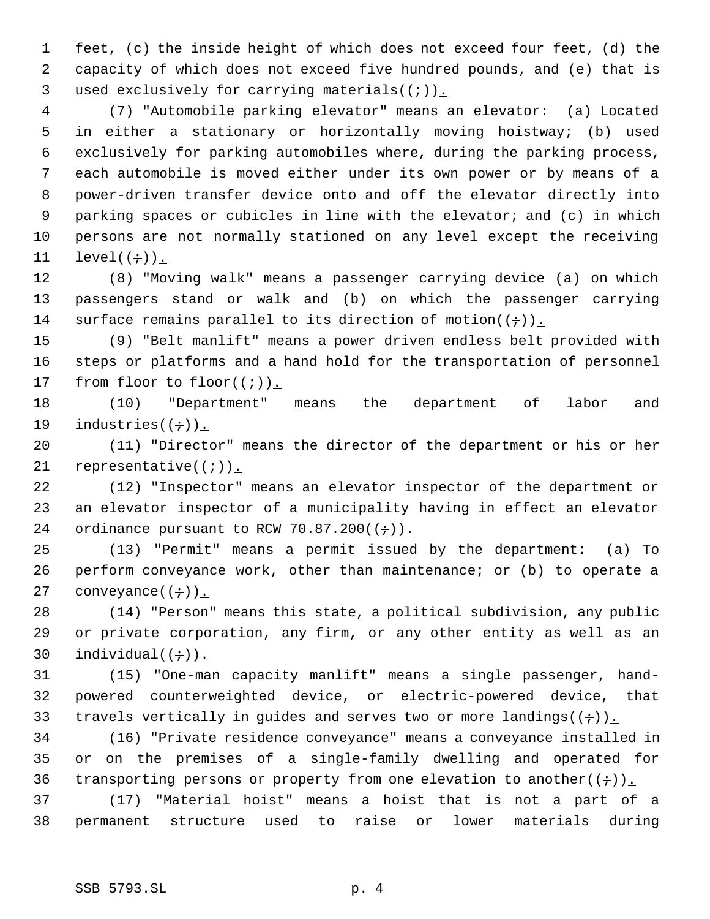feet, (c) the inside height of which does not exceed four feet, (d) the capacity of which does not exceed five hundred pounds, and (e) that is 3 used exclusively for carrying materials( $(+)$ ).

 (7) "Automobile parking elevator" means an elevator: (a) Located in either a stationary or horizontally moving hoistway; (b) used exclusively for parking automobiles where, during the parking process, each automobile is moved either under its own power or by means of a power-driven transfer device onto and off the elevator directly into parking spaces or cubicles in line with the elevator; and (c) in which persons are not normally stationed on any level except the receiving  $level((\div))$ .

 (8) "Moving walk" means a passenger carrying device (a) on which passengers stand or walk and (b) on which the passenger carrying 14 surface remains parallel to its direction of motion( $(+)$ ).

 (9) "Belt manlift" means a power driven endless belt provided with steps or platforms and a hand hold for the transportation of personnel 17 from floor to floor( $(+)$ ).

 (10) "Department" means the department of labor and 19 industries $((\div))_{\perp}$ 

 (11) "Director" means the director of the department or his or her 21 representative $((\div))$ .

 (12) "Inspector" means an elevator inspector of the department or an elevator inspector of a municipality having in effect an elevator 24 ordinance pursuant to RCW 70.87.200( $(+)$ ).

 (13) "Permit" means a permit issued by the department: (a) To perform conveyance work, other than maintenance; or (b) to operate a 27 conveyance $((\div))_{\perp}$ 

 (14) "Person" means this state, a political subdivision, any public or private corporation, any firm, or any other entity as well as an 30 individual $((\div))$ .

 (15) "One-man capacity manlift" means a single passenger, hand- powered counterweighted device, or electric-powered device, that 33 travels vertically in guides and serves two or more landings( $(+)$ ).

 (16) "Private residence conveyance" means a conveyance installed in or on the premises of a single-family dwelling and operated for 36 transporting persons or property from one elevation to another( $(+)$ ).

 (17) "Material hoist" means a hoist that is not a part of a permanent structure used to raise or lower materials during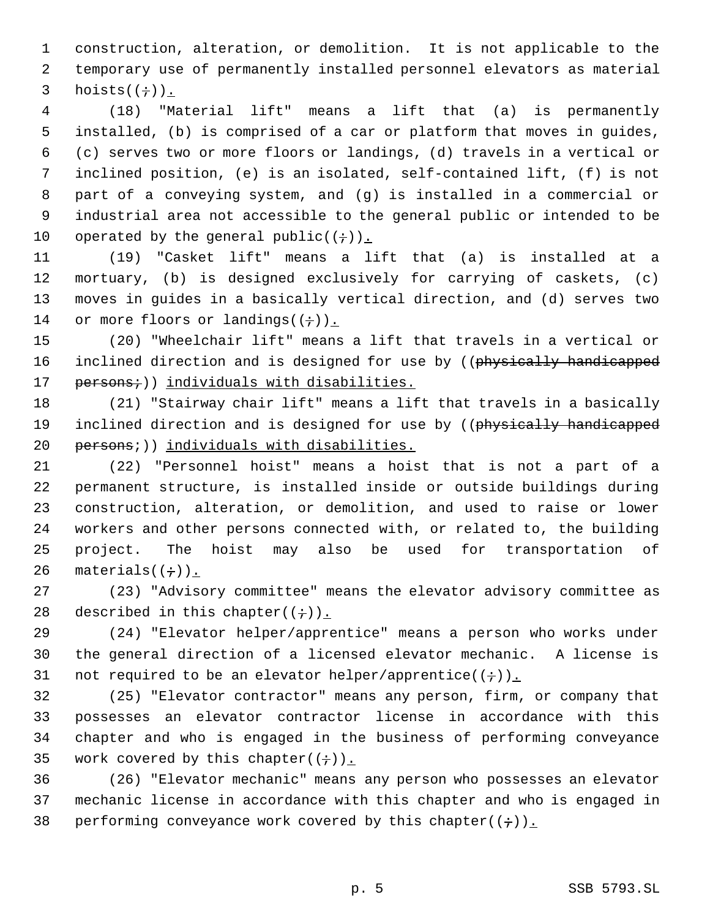construction, alteration, or demolition. It is not applicable to the temporary use of permanently installed personnel elevators as material 3 hoists $((\div))$ .

 (18) "Material lift" means a lift that (a) is permanently installed, (b) is comprised of a car or platform that moves in guides, (c) serves two or more floors or landings, (d) travels in a vertical or inclined position, (e) is an isolated, self-contained lift, (f) is not part of a conveying system, and (g) is installed in a commercial or industrial area not accessible to the general public or intended to be 10 operated by the general public( $(+)$ ).

 (19) "Casket lift" means a lift that (a) is installed at a mortuary, (b) is designed exclusively for carrying of caskets, (c) moves in guides in a basically vertical direction, and (d) serves two 14 or more floors or landings( $(i)$ ).

 (20) "Wheelchair lift" means a lift that travels in a vertical or 16 inclined direction and is designed for use by ((physically handicapped 17 persons;)) individuals with disabilities.

 (21) "Stairway chair lift" means a lift that travels in a basically 19 inclined direction and is designed for use by ((physically handicapped 20 persons; )) individuals with disabilities.

 (22) "Personnel hoist" means a hoist that is not a part of a permanent structure, is installed inside or outside buildings during construction, alteration, or demolition, and used to raise or lower workers and other persons connected with, or related to, the building project. The hoist may also be used for transportation of 26 materials $((\div))$ .

 (23) "Advisory committee" means the elevator advisory committee as 28 described in this chapter( $(i+)$ ).

 (24) "Elevator helper/apprentice" means a person who works under the general direction of a licensed elevator mechanic. A license is 31 not required to be an elevator helper/apprentice( $(\div)$ ).

 (25) "Elevator contractor" means any person, firm, or company that possesses an elevator contractor license in accordance with this chapter and who is engaged in the business of performing conveyance 35 work covered by this chapter( $(i)$ ).

 (26) "Elevator mechanic" means any person who possesses an elevator mechanic license in accordance with this chapter and who is engaged in 38 performing conveyance work covered by this chapter( $(\div)$ ).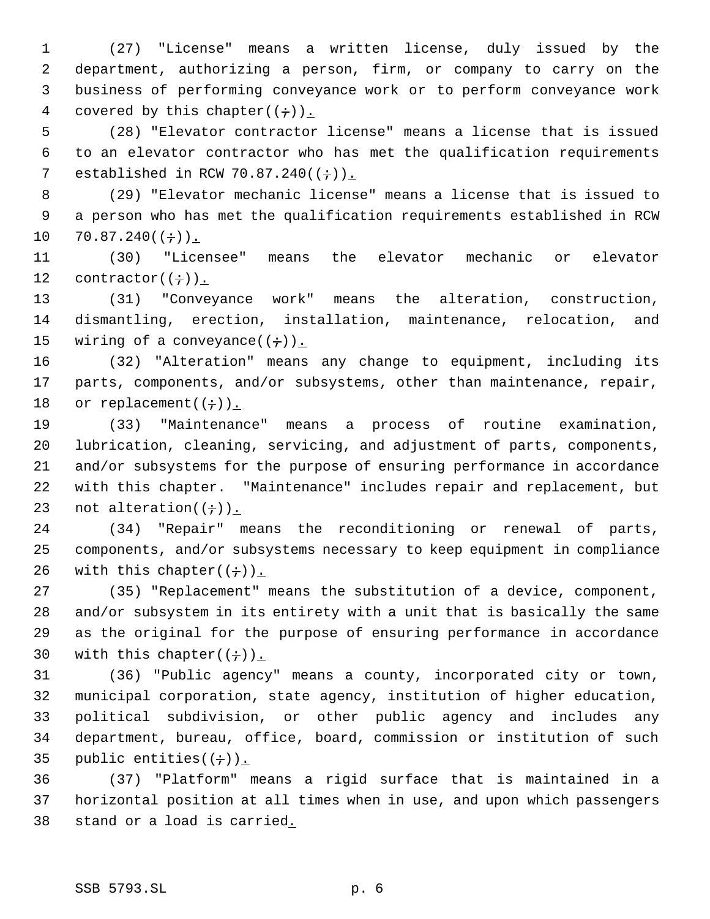(27) "License" means a written license, duly issued by the department, authorizing a person, firm, or company to carry on the business of performing conveyance work or to perform conveyance work 4 covered by this chapter( $(i+)$ ).

 (28) "Elevator contractor license" means a license that is issued to an elevator contractor who has met the qualification requirements 7 established in RCW 70.87.240 $((\div))$ .

 (29) "Elevator mechanic license" means a license that is issued to a person who has met the qualification requirements established in RCW  $10 \quad 70.87.240((\div))$ .

 (30) "Licensee" means the elevator mechanic or elevator 12 contractor( $(\div)$ ).

 (31) "Conveyance work" means the alteration, construction, dismantling, erection, installation, maintenance, relocation, and 15 wiring of a conveyance( $(+)$ ).

 (32) "Alteration" means any change to equipment, including its parts, components, and/or subsystems, other than maintenance, repair, 18 or replacement( $(\div)$ ).

 (33) "Maintenance" means a process of routine examination, lubrication, cleaning, servicing, and adjustment of parts, components, and/or subsystems for the purpose of ensuring performance in accordance with this chapter. "Maintenance" includes repair and replacement, but 23 not alteration( $(\div)$ ).

 (34) "Repair" means the reconditioning or renewal of parts, components, and/or subsystems necessary to keep equipment in compliance 26 with this chapter( $(+)$ ).

 (35) "Replacement" means the substitution of a device, component, and/or subsystem in its entirety with a unit that is basically the same as the original for the purpose of ensuring performance in accordance 30 with this chapter( $(+)$ ).

 (36) "Public agency" means a county, incorporated city or town, municipal corporation, state agency, institution of higher education, political subdivision, or other public agency and includes any department, bureau, office, board, commission or institution of such 35 public entities( $(+)$ ).

 (37) "Platform" means a rigid surface that is maintained in a horizontal position at all times when in use, and upon which passengers stand or a load is carried.